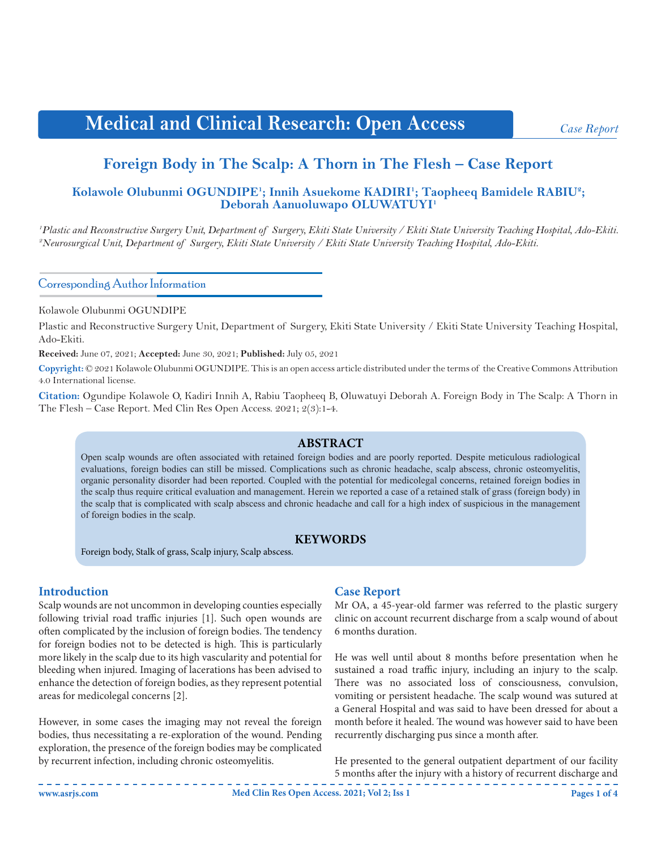# **Medical and Clinical Research: Open Access**

*Case Report*

# **Foreign Body in The Scalp: A Thorn in The Flesh – Case Report**

# Kolawole Olubunmi OGUNDIPE<sup>1</sup>; Innih Asuekome KADIRI<sup>1</sup>; Taopheeq Bamidele RABIU<sup>2</sup>; **Deborah Aanuoluwapo OLUWATUYI1**

*1 Plastic and Reconstructive Surgery Unit, Department of Surgery, Ekiti State University / Ekiti State University Teaching Hospital, Ado-Ekiti. 2 Neurosurgical Unit, Department of Surgery, Ekiti State University / Ekiti State University Teaching Hospital, Ado-Ekiti.*

Corresponding Author Information

Kolawole Olubunmi OGUNDIPE

Plastic and Reconstructive Surgery Unit, Department of Surgery, Ekiti State University / Ekiti State University Teaching Hospital, Ado-Ekiti.

**Received:** June 07, 2021; **Accepted:** June 30, 2021; **Published:** July 05, 2021

**Copyright:** © 2021 Kolawole Olubunmi OGUNDIPE. This is an open access article distributed under the terms of the Creative Commons Attribution 4.0 International license.

**Citation:** Ogundipe Kolawole O, Kadiri Innih A, Rabiu Taopheeq B, Oluwatuyi Deborah A. Foreign Body in The Scalp: A Thorn in The Flesh – Case Report. Med Clin Res Open Access. 2021; 2(3):1-4.

#### **ABSTRACT**

Open scalp wounds are often associated with retained foreign bodies and are poorly reported. Despite meticulous radiological evaluations, foreign bodies can still be missed. Complications such as chronic headache, scalp abscess, chronic osteomyelitis, organic personality disorder had been reported. Coupled with the potential for medicolegal concerns, retained foreign bodies in the scalp thus require critical evaluation and management. Herein we reported a case of a retained stalk of grass (foreign body) in the scalp that is complicated with scalp abscess and chronic headache and call for a high index of suspicious in the management of foreign bodies in the scalp.

#### **KEYWORDS**

Foreign body, Stalk of grass, Scalp injury, Scalp abscess.

#### **Introduction**

Scalp wounds are not uncommon in developing counties especially following trivial road traffic injuries [1]. Such open wounds are often complicated by the inclusion of foreign bodies. The tendency for foreign bodies not to be detected is high. This is particularly more likely in the scalp due to its high vascularity and potential for bleeding when injured. Imaging of lacerations has been advised to enhance the detection of foreign bodies, as they represent potential areas for medicolegal concerns [2].

However, in some cases the imaging may not reveal the foreign bodies, thus necessitating a re-exploration of the wound. Pending exploration, the presence of the foreign bodies may be complicated by recurrent infection, including chronic osteomyelitis.

#### **Case Report**

Mr OA, a 45-year-old farmer was referred to the plastic surgery clinic on account recurrent discharge from a scalp wound of about 6 months duration.

He was well until about 8 months before presentation when he sustained a road traffic injury, including an injury to the scalp. There was no associated loss of consciousness, convulsion, vomiting or persistent headache. The scalp wound was sutured at a General Hospital and was said to have been dressed for about a month before it healed. The wound was however said to have been recurrently discharging pus since a month after.

He presented to the general outpatient department of our facility 5 months after the injury with a history of recurrent discharge and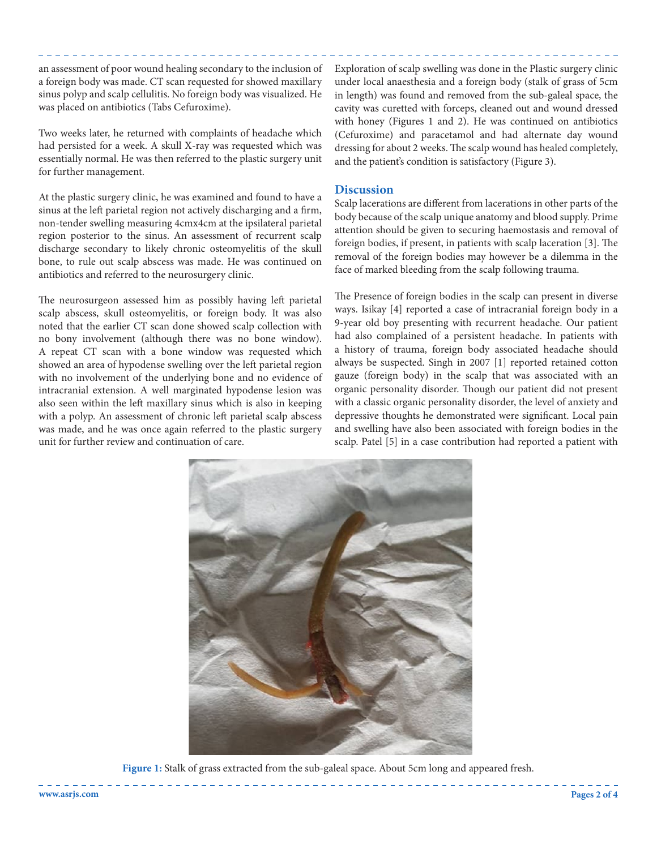an assessment of poor wound healing secondary to the inclusion of a foreign body was made. CT scan requested for showed maxillary sinus polyp and scalp cellulitis. No foreign body was visualized. He was placed on antibiotics (Tabs Cefuroxime).

Two weeks later, he returned with complaints of headache which had persisted for a week. A skull X-ray was requested which was essentially normal. He was then referred to the plastic surgery unit for further management.

At the plastic surgery clinic, he was examined and found to have a sinus at the left parietal region not actively discharging and a firm, non-tender swelling measuring 4cmx4cm at the ipsilateral parietal region posterior to the sinus. An assessment of recurrent scalp discharge secondary to likely chronic osteomyelitis of the skull bone, to rule out scalp abscess was made. He was continued on antibiotics and referred to the neurosurgery clinic.

The neurosurgeon assessed him as possibly having left parietal scalp abscess, skull osteomyelitis, or foreign body. It was also noted that the earlier CT scan done showed scalp collection with no bony involvement (although there was no bone window). A repeat CT scan with a bone window was requested which showed an area of hypodense swelling over the left parietal region with no involvement of the underlying bone and no evidence of intracranial extension. A well marginated hypodense lesion was also seen within the left maxillary sinus which is also in keeping with a polyp. An assessment of chronic left parietal scalp abscess was made, and he was once again referred to the plastic surgery unit for further review and continuation of care.

Exploration of scalp swelling was done in the Plastic surgery clinic under local anaesthesia and a foreign body (stalk of grass of 5cm in length) was found and removed from the sub-galeal space, the cavity was curetted with forceps, cleaned out and wound dressed with honey (Figures 1 and 2). He was continued on antibiotics (Cefuroxime) and paracetamol and had alternate day wound dressing for about 2 weeks. The scalp wound has healed completely, and the patient's condition is satisfactory (Figure 3).

#### **Discussion**

Scalp lacerations are different from lacerations in other parts of the body because of the scalp unique anatomy and blood supply. Prime attention should be given to securing haemostasis and removal of foreign bodies, if present, in patients with scalp laceration [3]. The removal of the foreign bodies may however be a dilemma in the face of marked bleeding from the scalp following trauma.

The Presence of foreign bodies in the scalp can present in diverse ways. Isikay [4] reported a case of intracranial foreign body in a 9-year old boy presenting with recurrent headache. Our patient had also complained of a persistent headache. In patients with a history of trauma, foreign body associated headache should always be suspected. Singh in 2007 [1] reported retained cotton gauze (foreign body) in the scalp that was associated with an organic personality disorder. Though our patient did not present with a classic organic personality disorder, the level of anxiety and depressive thoughts he demonstrated were significant. Local pain and swelling have also been associated with foreign bodies in the scalp. Patel [5] in a case contribution had reported a patient with



**Figure 1:** Stalk of grass extracted from the sub-galeal space. About 5cm long and appeared fresh.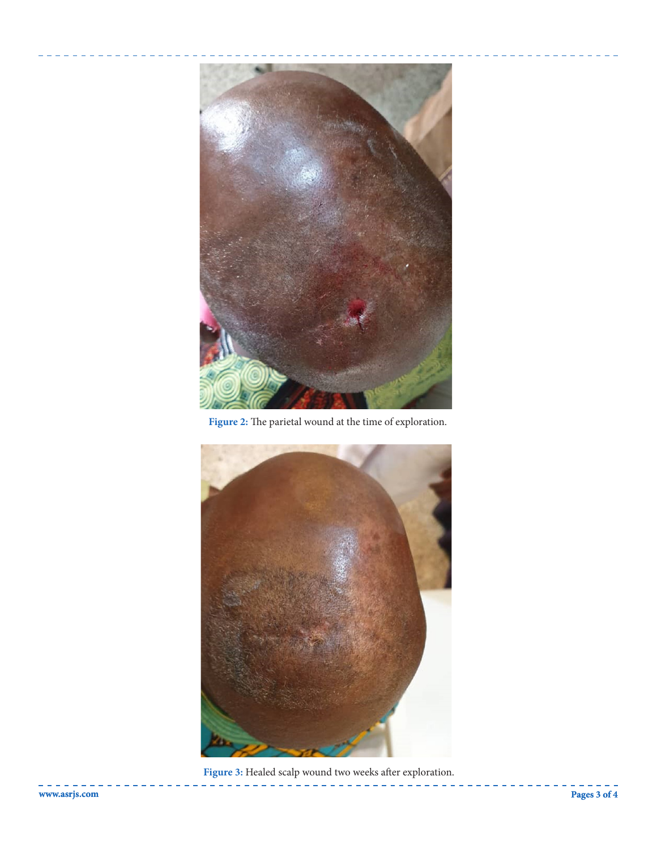

**Figure 2:** The parietal wound at the time of exploration.



**Figure 3:** Healed scalp wound two weeks after exploration.